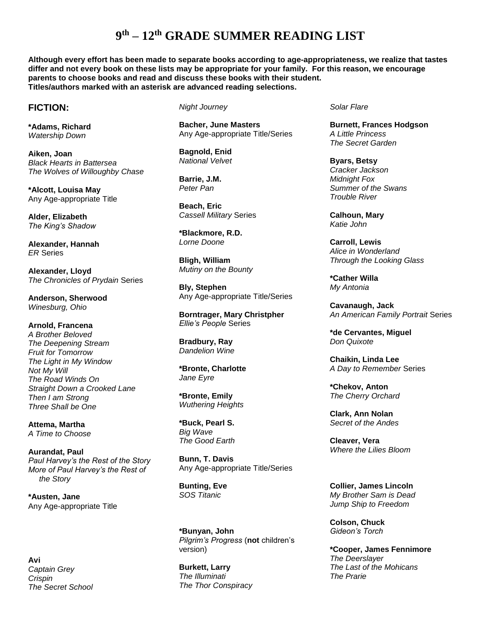**Although every effort has been made to separate books according to age-appropriateness, we realize that tastes differ and not every book on these lists may be appropriate for your family. For this reason, we encourage parents to choose books and read and discuss these books with their student. Titles/authors marked with an asterisk are advanced reading selections.** 

#### **FICTION:**

**\*Adams, Richard** *Watership Down*

**Aiken, Joan** *Black Hearts in Battersea The Wolves of Willoughby Chase*

**\*Alcott, Louisa May** Any Age-appropriate Title

**Alder, Elizabeth** *The King's Shadow*

**Alexander, Hannah** *ER* Series

**Alexander, Lloyd** *The Chronicles of Prydain* Series

**Anderson, Sherwood** *Winesburg, Ohio*

**Arnold, Francena** *A Brother Beloved The Deepening Stream Fruit for Tomorrow The Light in My Window Not My Will The Road Winds On Straight Down a Crooked Lane Then I am Strong Three Shall be One*

**Attema, Martha** *A Time to Choose*

**Aurandat, Paul** *Paul Harvey's the Rest of the Story More of Paul Harvey's the Rest of the Story*

**\*Austen, Jane** Any Age-appropriate Title

**Avi** *Captain Grey Crispin The Secret School* *Night Journey*

**Bacher, June Masters** Any Age-appropriate Title/Series

**Bagnold, Enid** *National Velvet*

**Barrie, J.M.** *Peter Pan*

**Beach, Eric** *Cassell Military* Series

**\*Blackmore, R.D.** *Lorne Doone*

**Bligh, William** *Mutiny on the Bounty*

**Bly, Stephen** Any Age-appropriate Title/Series

**Borntrager, Mary Christpher** *Ellie's People* Series

**Bradbury, Ray** *Dandelion Wine*

**\*Bronte, Charlotte** *Jane Eyre*

**\*Bronte, Emily** *Wuthering Heights*

**\*Buck, Pearl S.** *Big Wave The Good Earth*

**Bunn, T. Davis** Any Age-appropriate Title/Series

**Bunting, Eve** *SOS Titanic*

**\*Bunyan, John**  *Pilgrim's Progress* (**not** children's version)

**Burkett, Larry** *The Illuminati The Thor Conspiracy* *Solar Flare*

**Burnett, Frances Hodgson** *A Little Princess The Secret Garden*

**Byars, Betsy** *Cracker Jackson Midnight Fox Summer of the Swans Trouble River*

**Calhoun, Mary** *Katie John*

**Carroll, Lewis** *Alice in Wonderland Through the Looking Glass*

**\*Cather Willa** *My Antonia*

**Cavanaugh, Jack** *An American Family Portrait* Series

**\*de Cervantes, Miguel** *Don Quixote*

**Chaikin, Linda Lee** *A Day to Remember* Series

**\*Chekov, Anton** *The Cherry Orchard*

**Clark, Ann Nolan** *Secret of the Andes*

**Cleaver, Vera** *Where the Lilies Bloom*

**Collier, James Lincoln** *My Brother Sam is Dead Jump Ship to Freedom*

**Colson, Chuck** *Gideon's Torch*

**\*Cooper, James Fennimore** *The Deerslayer The Last of the Mohicans The Prarie*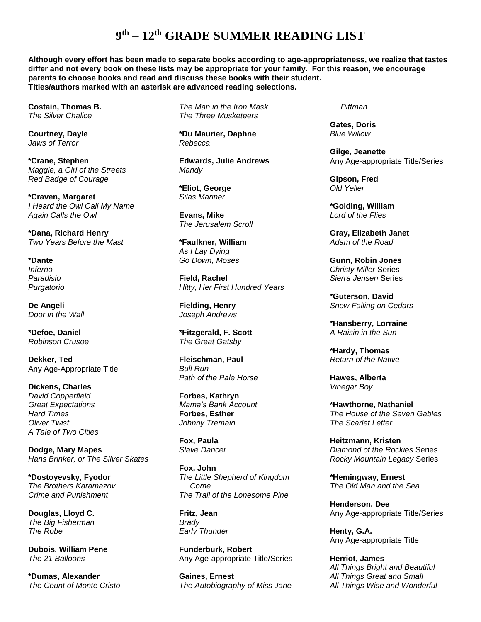**Although every effort has been made to separate books according to age-appropriateness, we realize that tastes differ and not every book on these lists may be appropriate for your family. For this reason, we encourage parents to choose books and read and discuss these books with their student. Titles/authors marked with an asterisk are advanced reading selections.** 

**Costain, Thomas B.** *The Silver Chalice*

**Courtney, Dayle** *Jaws of Terror*

**\*Crane, Stephen** *Maggie, a Girl of the Streets Red Badge of Courage*

**\*Craven, Margaret** *I Heard the Owl Call My Name Again Calls the Owl*

**\*Dana, Richard Henry** *Two Years Before the Mast*

**\*Dante** *Inferno Paradisio Purgatorio*

**De Angeli** *Door in the Wall*

**\*Defoe, Daniel** *Robinson Crusoe*

**Dekker, Ted** Any Age-Appropriate Title

**Dickens, Charles** *David Copperfield Great Expectations Hard Times Oliver Twist A Tale of Two Cities*

**Dodge, Mary Mapes** *Hans Brinker, or The Silver Skates*

**\*Dostoyevsky, Fyodor** *The Brothers Karamazov Crime and Punishment*

**Douglas, Lloyd C.** *The Big Fisherman The Robe*

**Dubois, William Pene** *The 21 Balloons*

**\*Dumas, Alexander** *The Count of Monte Cristo* *The Man in the Iron Mask The Three Musketeers*

**\*Du Maurier, Daphne** *Rebecca*

**Edwards, Julie Andrews** *Mandy*

**\*Eliot, George** *Silas Mariner*

**Evans, Mike** *The Jerusalem Scroll*

**\*Faulkner, William** *As I Lay Dying Go Down, Moses*

**Field, Rachel** *Hitty, Her First Hundred Years*

**Fielding, Henry** *Joseph Andrews*

**\*Fitzgerald, F. Scott** *The Great Gatsby*

**Fleischman, Paul** *Bull Run Path of the Pale Horse*

**Forbes, Kathryn** *Mama's Bank Account* **Forbes, Esther**  *Johnny Tremain*

**Fox, Paula** *Slave Dancer*

**Fox, John** *The Little Shepherd of Kingdom Come The Trail of the Lonesome Pine*

**Fritz, Jean** *Brady Early Thunder*

**Funderburk, Robert** Any Age-appropriate Title/Series

**Gaines, Ernest** *The Autobiography of Miss Jane*   *Pittman*

**Gates, Doris** *Blue Willow*

**Gilge, Jeanette** Any Age-appropriate Title/Series

**Gipson, Fred** *Old Yeller*

**\*Golding, William** *Lord of the Flies*

**Gray, Elizabeth Janet** *Adam of the Road*

**Gunn, Robin Jones** *Christy Miller* Series *Sierra Jensen* Series

**\*Guterson, David** *Snow Falling on Cedars*

**\*Hansberry, Lorraine** *A Raisin in the Sun*

**\*Hardy, Thomas** *Return of the Native*

**Hawes, Alberta** *Vinegar Boy*

**\*Hawthorne, Nathaniel** *The House of the Seven Gables The Scarlet Letter*

**Heitzmann, Kristen** *Diamond of the Rockies* Series *Rocky Mountain Legacy* Series

**\*Hemingway, Ernest** *The Old Man and the Sea*

**Henderson, Dee** Any Age-appropriate Title/Series

**Henty, G.A.**  Any Age-appropriate Title

**Herriot, James** *All Things Bright and Beautiful All Things Great and Small All Things Wise and Wonderful*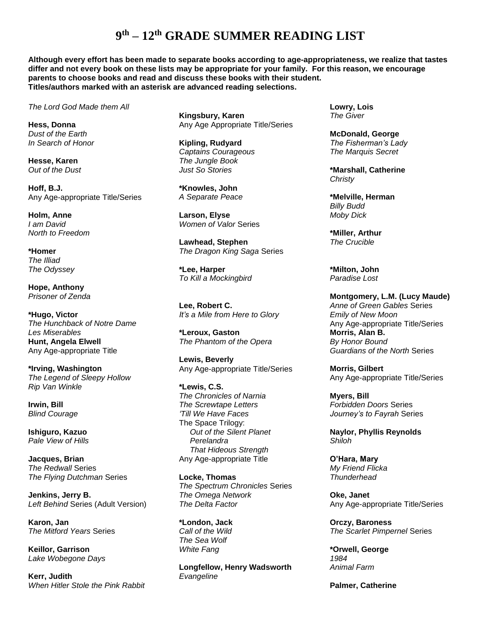**Although every effort has been made to separate books according to age-appropriateness, we realize that tastes differ and not every book on these lists may be appropriate for your family. For this reason, we encourage parents to choose books and read and discuss these books with their student. Titles/authors marked with an asterisk are advanced reading selections.** 

*The Lord God Made them All*

**Hess, Donna** *Dust of the Earth In Search of Honor*

**Hesse, Karen** *Out of the Dust*

**Hoff, B.J.** Any Age-appropriate Title/Series

**Holm, Anne** *I am David North to Freedom*

**\*Homer** *The Illiad The Odyssey*

**Hope, Anthony** *Prisoner of Zenda*

**\*Hugo, Victor** *The Hunchback of Notre Dame Les Miserables* **Hunt, Angela Elwell** Any Age-appropriate Title

**\*Irving, Washington** *The Legend of Sleepy Hollow Rip Van Winkle*

**Irwin, Bill** *Blind Courage*

**Ishiguro, Kazuo** *Pale View of Hills*

**Jacques, Brian** *The Redwall* Series *The Flying Dutchman* Series

**Jenkins, Jerry B.** *Left Behind* Series (Adult Version)

**Karon, Jan** *The Mitford Years* Series

**Keillor, Garrison** *Lake Wobegone Days*

**Kerr, Judith** *When Hitler Stole the Pink Rabbit* **Kingsbury, Karen** Any Age Appropriate Title/Series

**Kipling, Rudyard** *Captains Courageous The Jungle Book Just So Stories*

**\*Knowles, John** *A Separate Peace*

**Larson, Elyse** *Women of Valor* Series

**Lawhead, Stephen** *The Dragon King Saga* Series

**\*Lee, Harper** *To Kill a Mockingbird*

**Lee, Robert C.** *It's a Mile from Here to Glory*

**\*Leroux, Gaston** *The Phantom of the Opera*

**Lewis, Beverly** Any Age-appropriate Title/Series

**\*Lewis, C.S.** *The Chronicles of Narnia The Screwtape Letters 'Till We Have Faces* The Space Trilogy: *Out of the Silent Planet Perelandra That Hideous Strength* Any Age-appropriate Title

**Locke, Thomas** *The Spectrum Chronicles* Series *The Omega Network The Delta Factor*

**\*London, Jack** *Call of the Wild The Sea Wolf White Fang*

**Longfellow, Henry Wadsworth** *Evangeline*

**Lowry, Lois** *The Giver*

**McDonald, George** *The Fisherman's Lady The Marquis Secret*

**\*Marshall, Catherine** *Christy*

**\*Melville, Herman** *Billy Budd Moby Dick*

**\*Miller, Arthur** *The Crucible*

**\*Milton, John** *Paradise Lost*

**Montgomery, L.M. (Lucy Maude)** *Anne of Green Gables* Series *Emily of New Moon*  Any Age-appropriate Title/Series **Morris, Alan B.** *By Honor Bound Guardians of the North* Series

**Morris, Gilbert** Any Age-appropriate Title/Series

**Myers, Bill** *Forbidden Doors* Series *Journey's to Fayrah* Series

**Naylor, Phyllis Reynolds** *Shiloh*

**O'Hara, Mary** *My Friend Flicka Thunderhead*

**Oke, Janet** Any Age-appropriate Title/Series

**Orczy, Baroness** *The Scarlet Pimpernel* Series

**\*Orwell, George** *1984 Animal Farm*

**Palmer, Catherine**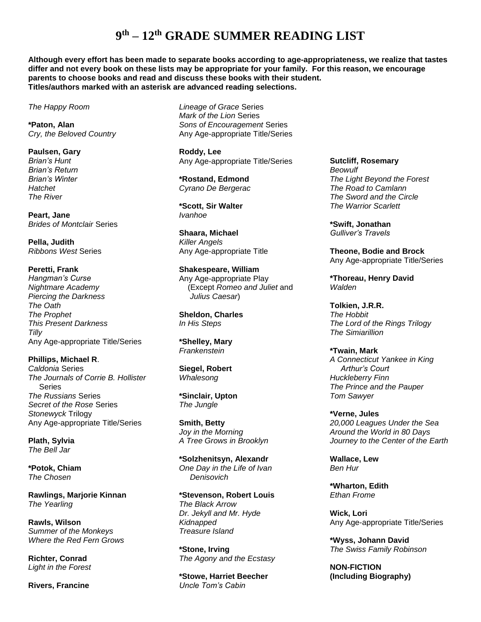**Although every effort has been made to separate books according to age-appropriateness, we realize that tastes differ and not every book on these lists may be appropriate for your family. For this reason, we encourage parents to choose books and read and discuss these books with their student. Titles/authors marked with an asterisk are advanced reading selections.** 

*The Happy Room*

**\*Paton, Alan** *Cry, the Beloved Country*

**Paulsen, Gary** *Brian's Hunt Brian's Return Brian's Winter Hatchet The River*

**Peart, Jane** *Brides of Montclair* Series

**Pella, Judith** *Ribbons West* Series

#### **Peretti, Frank**

*Hangman's Curse Nightmare Academy Piercing the Darkness The Oath The Prophet This Present Darkness Tilly* Any Age-appropriate Title/Series

**Phillips, Michael R**. *Caldonia* Series

*The Journals of Corrie B. Hollister*  Series *The Russians* Series *Secret of the Rose* Series *Stonewyck* Trilogy Any Age-appropriate Title/Series

**Plath, Sylvia** *The Bell Jar*

**\*Potok, Chiam** *The Chosen*

**Rawlings, Marjorie Kinnan** *The Yearling*

**Rawls, Wilson** *Summer of the Monkeys Where the Red Fern Grows*

**Richter, Conrad** *Light in the Forest*

**Rivers, Francine**

*Lineage of Grace* Series *Mark of the Lion* Series *Sons of Encouragement* Series Any Age-appropriate Title/Series

**Roddy, Lee** Any Age-appropriate Title/Series

**\*Rostand, Edmond** *Cyrano De Bergerac*

**\*Scott, Sir Walter** *Ivanhoe*

**Shaara, Michael** *Killer Angels* Any Age-appropriate Title

**Shakespeare, William** Any Age-appropriate Play (Except *Romeo and Juliet* and *Julius Caesar*)

**Sheldon, Charles** *In His Steps*

**\*Shelley, Mary** *Frankenstein*

**Siegel, Robert** *Whalesong*

**\*Sinclair, Upton** *The Jungle*

**Smith, Betty** *Joy in the Morning A Tree Grows in Brooklyn*

**\*Solzhenitsyn, Alexandr** *One Day in the Life of Ivan Denisovich*

**\*Stevenson, Robert Louis** *The Black Arrow Dr. Jekyll and Mr. Hyde Kidnapped Treasure Island*

**\*Stone, Irving** *The Agony and the Ecstasy*

**\*Stowe, Harriet Beecher** *Uncle Tom's Cabin*

**Sutcliff, Rosemary** *Beowulf The Light Beyond the Forest The Road to Camlann The Sword and the Circle The Warrior Scarlett*

**\*Swift, Jonathan** *Gulliver's Travels*

**Theone, Bodie and Brock** Any Age-appropriate Title/Series

**\*Thoreau, Henry David** *Walden*

**Tolkien, J.R.R.** *The Hobbit The Lord of the Rings Trilogy The Simiarillion*

**\*Twain, Mark** *A Connecticut Yankee in King Arthur's Court Huckleberry Finn The Prince and the Pauper Tom Sawyer*

**\*Verne, Jules** *20,000 Leagues Under the Sea Around the World in 80 Days Journey to the Center of the Earth*

**Wallace, Lew** *Ben Hur*

**\*Wharton, Edith** *Ethan Frome*

**Wick, Lori** Any Age-appropriate Title/Series

**\*Wyss, Johann David** *The Swiss Family Robinson*

**NON-FICTION (Including Biography)**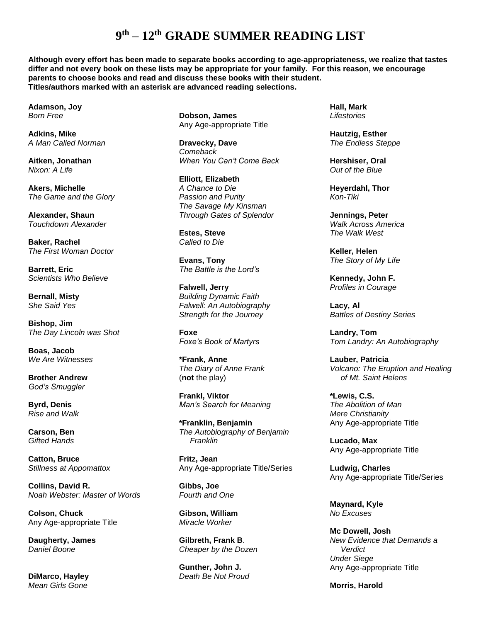**Although every effort has been made to separate books according to age-appropriateness, we realize that tastes differ and not every book on these lists may be appropriate for your family. For this reason, we encourage parents to choose books and read and discuss these books with their student. Titles/authors marked with an asterisk are advanced reading selections.** 

**Adamson, Joy** *Born Free*

**Adkins, Mike** *A Man Called Norman*

**Aitken, Jonathan** *Nixon: A Life*

**Akers, Michelle** *The Game and the Glory*

**Alexander, Shaun** *Touchdown Alexander*

**Baker, Rachel** *The First Woman Doctor*

**Barrett, Eric** *Scientists Who Believe*

**Bernall, Misty** *She Said Yes*

**Bishop, Jim** *The Day Lincoln was Shot*

**Boas, Jacob** *We Are Witnesses*

**Brother Andrew** *God's Smuggler*

**Byrd, Denis** *Rise and Walk*

**Carson, Ben** *Gifted Hands*

**Catton, Bruce** *Stillness at Appomattox*

**Collins, David R.** *Noah Webster: Master of Words*

**Colson, Chuck** Any Age-appropriate Title

**Daugherty, James** *Daniel Boone*

**DiMarco, Hayley** *Mean Girls Gone*

**Dobson, James** Any Age-appropriate Title

**Dravecky, Dave** *Comeback When You Can't Come Back*

**Elliott, Elizabeth** *A Chance to Die Passion and Purity The Savage My Kinsman Through Gates of Splendor*

**Estes, Steve** *Called to Die*

**Evans, Tony** *The Battle is the Lord's*

**Falwell, Jerry** *Building Dynamic Faith Falwell: An Autobiography Strength for the Journey*

**Foxe** *Foxe's Book of Martyrs*

**\*Frank, Anne** *The Diary of Anne Frank* (**not** the play)

**Frankl, Viktor** *Man's Search for Meaning*

**\*Franklin, Benjamin** *The Autobiography of Benjamin Franklin*

**Fritz, Jean** Any Age-appropriate Title/Series

**Gibbs, Joe** *Fourth and One*

**Gibson, William** *Miracle Worker*

**Gilbreth, Frank B**. *Cheaper by the Dozen*

**Gunther, John J.** *Death Be Not Proud* **Hall, Mark** *Lifestories*

**Hautzig, Esther** *The Endless Steppe*

**Hershiser, Oral** *Out of the Blue*

**Heyerdahl, Thor** *Kon-Tiki*

**Jennings, Peter** *Walk Across America The Walk West*

**Keller, Helen** *The Story of My Life*

**Kennedy, John F.** *Profiles in Courage*

**Lacy, Al** *Battles of Destiny Series*

**Landry, Tom** *Tom Landry: An Autobiography*

**Lauber, Patricia** *Volcano: The Eruption and Healing of Mt. Saint Helens*

**\*Lewis, C.S.** *The Abolition of Man Mere Christianity* Any Age-appropriate Title

**Lucado, Max** Any Age-appropriate Title

**Ludwig, Charles** Any Age-appropriate Title/Series

**Maynard, Kyle** *No Excuses*

**Mc Dowell, Josh** *New Evidence that Demands a Verdict Under Siege* Any Age-appropriate Title

**Morris, Harold**